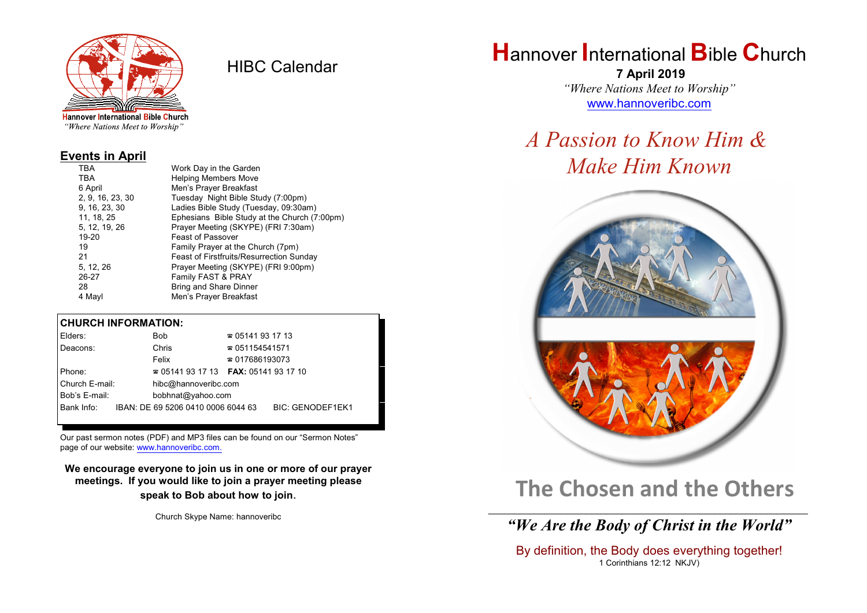

HIBC Calendar

**Hannover International Bible Church** "Where Nations Meet to Worship"

#### **Events in April**

| TBA              | Work Day in the Garden                          |  |  |  |
|------------------|-------------------------------------------------|--|--|--|
| TBA              | <b>Helping Members Move</b>                     |  |  |  |
| 6 April          | Men's Prayer Breakfast                          |  |  |  |
| 2, 9, 16, 23, 30 | Tuesday Night Bible Study (7:00pm)              |  |  |  |
| 9, 16, 23, 30    | Ladies Bible Study (Tuesday, 09:30am)           |  |  |  |
| 11, 18, 25       | Ephesians Bible Study at the Church (7:00pm)    |  |  |  |
| 5, 12, 19, 26    | Prayer Meeting (SKYPE) (FRI 7:30am)             |  |  |  |
| 19-20            | <b>Feast of Passover</b>                        |  |  |  |
| 19               | Family Prayer at the Church (7pm)               |  |  |  |
| 21               | <b>Feast of Firstfruits/Resurrection Sunday</b> |  |  |  |
| 5, 12, 26        | Prayer Meeting (SKYPE) (FRI 9:00pm)             |  |  |  |
| 26-27            | Family FAST & PRAY                              |  |  |  |
| 28               | <b>Bring and Share Dinner</b>                   |  |  |  |
| 4 Mayl           | Men's Prayer Breakfast                          |  |  |  |
|                  |                                                 |  |  |  |

### **CHURCH INFORMATION:**

| Elders:        | <b>Bob</b>                               | $\approx 05141931713$  |                         |  |
|----------------|------------------------------------------|------------------------|-------------------------|--|
| Deacons:       | Chris                                    | $\approx 051154541571$ |                         |  |
|                | Felix                                    | $\approx 017686193073$ |                         |  |
| Phone:         | $\approx 05141931713$ FAX: 0514193 17 10 |                        |                         |  |
| Church E-mail: | hibc@hannoveribc.com                     |                        |                         |  |
| Bob's E-mail:  | bobhnat@yahoo.com                        |                        |                         |  |
| Bank Info:     | IBAN: DE 69 5206 0410 0006 6044 63       |                        | <b>BIC: GENODEF1EK1</b> |  |
|                |                                          |                        |                         |  |

Our past sermon notes (PDF) and MP3 files can be found on our "Sermon Notes" page of our website: [www.hannoveribc.com.](http://www.hannoveribc.com.)

**We encourage everyone to join us in one or more of our prayer meetings. If you would like to join a prayer meeting please speak to Bob about how to join**.

Church Skype Name: hannoveribc

# **H**annover **I**nternational **B**ible **C**hurch

 **7 April 2019** *"Where Nations Meet to Worship"* [www.hannoveribc.com](http://www.hannoveribc.com)

# *A Passion to Know Him & Make Him Known*



# **The Chosen and the Others**

### \_\_\_\_\_\_\_\_\_\_\_\_\_\_\_\_\_\_\_\_\_\_\_\_\_\_\_\_\_\_\_\_\_\_\_\_\_\_\_\_\_\_\_\_\_\_\_\_\_\_\_\_\_\_\_\_\_\_\_\_\_\_ *"We Are the Body of Christ in the World"*

By definition, the Body does everything together! 1 Corinthians 12:12 NKJV)